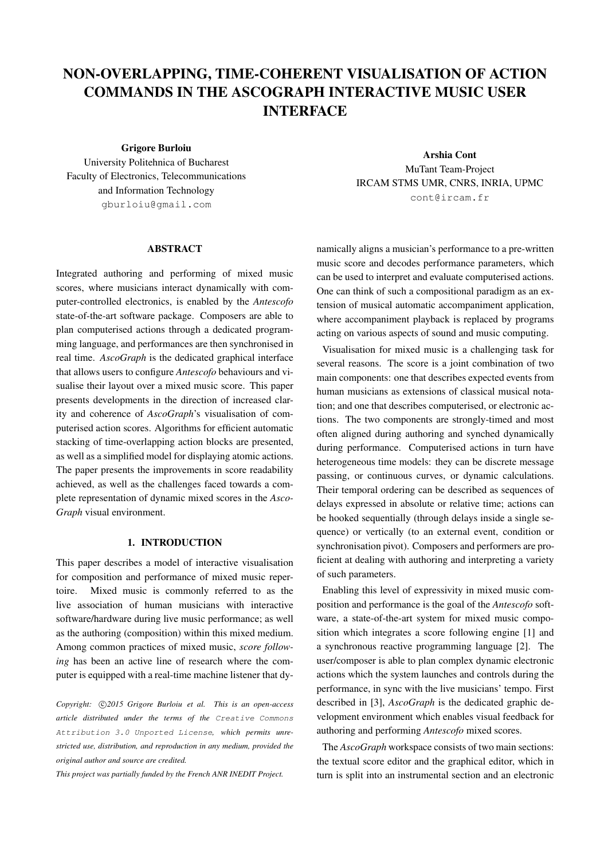# NON-OVERLAPPING, TIME-COHERENT VISUALISATION OF ACTION COMMANDS IN THE ASCOGRAPH INTERACTIVE MUSIC USER INTERFACE

Grigore Burloiu

University Politehnica of Bucharest Faculty of Electronics, Telecommunications and Information Technology [gburloiu@gmail.com](mailto:gburloiu@gmail.com)

#### ABSTRACT

Integrated authoring and performing of mixed music scores, where musicians interact dynamically with computer-controlled electronics, is enabled by the *Antescofo* state-of-the-art software package. Composers are able to plan computerised actions through a dedicated programming language, and performances are then synchronised in real time. *AscoGraph* is the dedicated graphical interface that allows users to configure *Antescofo* behaviours and visualise their layout over a mixed music score. This paper presents developments in the direction of increased clarity and coherence of *AscoGraph*'s visualisation of computerised action scores. Algorithms for efficient automatic stacking of time-overlapping action blocks are presented, as well as a simplified model for displaying atomic actions. The paper presents the improvements in score readability achieved, as well as the challenges faced towards a complete representation of dynamic mixed scores in the *Asco-Graph* visual environment.

# 1. INTRODUCTION

This paper describes a model of interactive visualisation for composition and performance of mixed music repertoire. Mixed music is commonly referred to as the live association of human musicians with interactive software/hardware during live music performance; as well as the authoring (composition) within this mixed medium. Among common practices of mixed music, *score following* has been an active line of research where the computer is equipped with a real-time machine listener that dy-

Copyright:  $\bigcirc$ 2015 Grigore Burloiu et al. This is an open-access *article distributed under the terms of the* [Creative Commons](http://creativecommons.org/licenses/by/3.0/) [Attribution 3.0 Unported License](http://creativecommons.org/licenses/by/3.0/)*, which permits unrestricted use, distribution, and reproduction in any medium, provided the original author and source are credited.*

*This project was partially funded by the French ANR INEDIT Project.*

Arshia Cont MuTant Team-Project IRCAM STMS UMR, CNRS, INRIA, UPMC [cont@ircam.fr](mailto:cont@ircam.fr)

namically aligns a musician's performance to a pre-written music score and decodes performance parameters, which can be used to interpret and evaluate computerised actions. One can think of such a compositional paradigm as an extension of musical automatic accompaniment application, where accompaniment playback is replaced by programs acting on various aspects of sound and music computing.

Visualisation for mixed music is a challenging task for several reasons. The score is a joint combination of two main components: one that describes expected events from human musicians as extensions of classical musical notation; and one that describes computerised, or electronic actions. The two components are strongly-timed and most often aligned during authoring and synched dynamically during performance. Computerised actions in turn have heterogeneous time models: they can be discrete message passing, or continuous curves, or dynamic calculations. Their temporal ordering can be described as sequences of delays expressed in absolute or relative time; actions can be hooked sequentially (through delays inside a single sequence) or vertically (to an external event, condition or synchronisation pivot). Composers and performers are proficient at dealing with authoring and interpreting a variety of such parameters.

Enabling this level of expressivity in mixed music composition and performance is the goal of the *Antescofo* software, a state-of-the-art system for mixed music composition which integrates a score following engine [\[1\]](#page-4-0) and a synchronous reactive programming language [\[2\]](#page-4-1). The user/composer is able to plan complex dynamic electronic actions which the system launches and controls during the performance, in sync with the live musicians' tempo. First described in [\[3\]](#page-4-2), *AscoGraph* is the dedicated graphic development environment which enables visual feedback for authoring and performing *Antescofo* mixed scores.

The *AscoGraph* workspace consists of two main sections: the textual score editor and the graphical editor, which in turn is split into an instrumental section and an electronic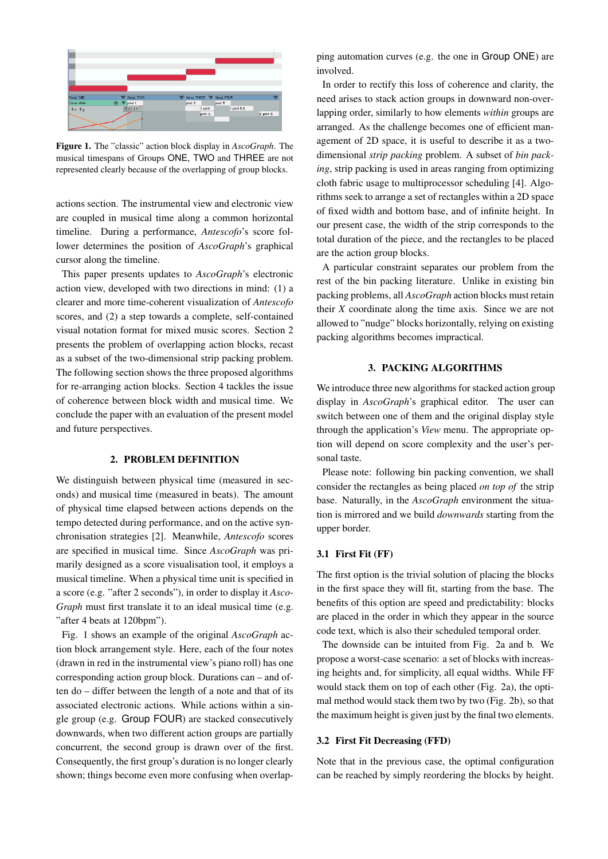<span id="page-1-0"></span>

Figure 1. The "classic" action block display in *AscoGraph*. The musical timespans of Groups ONE, TWO and THREE are not represented clearly because of the overlapping of group blocks.

actions section. The instrumental view and electronic view are coupled in musical time along a common horizontal timeline. During a performance, *Antescofo*'s score follower determines the position of *AscoGraph*'s graphical cursor along the timeline.

This paper presents updates to *AscoGraph*'s electronic action view, developed with two directions in mind: (1) a clearer and more time-coherent visualization of *Antescofo* scores, and (2) a step towards a complete, self-contained visual notation format for mixed music scores. Section 2 presents the problem of overlapping action blocks, recast as a subset of the two-dimensional strip packing problem. The following section shows the three proposed algorithms for re-arranging action blocks. Section 4 tackles the issue of coherence between block width and musical time. We conclude the paper with an evaluation of the present model and future perspectives.

#### 2. PROBLEM DEFINITION

We distinguish between physical time (measured in seconds) and musical time (measured in beats). The amount of physical time elapsed between actions depends on the tempo detected during performance, and on the active synchronisation strategies [\[2\]](#page-4-1). Meanwhile, *Antescofo* scores are specified in musical time. Since *AscoGraph* was primarily designed as a score visualisation tool, it employs a musical timeline. When a physical time unit is specified in a score (e.g. "after 2 seconds"), in order to display it *Asco-Graph* must first translate it to an ideal musical time (e.g. "after 4 beats at 120bpm").

Fig. [1](#page-1-0) shows an example of the original *AscoGraph* action block arrangement style. Here, each of the four notes (drawn in red in the instrumental view's piano roll) has one corresponding action group block. Durations can – and often do – differ between the length of a note and that of its associated electronic actions. While actions within a single group (e.g. Group FOUR) are stacked consecutively downwards, when two different action groups are partially concurrent, the second group is drawn over of the first. Consequently, the first group's duration is no longer clearly shown; things become even more confusing when overlapping automation curves (e.g. the one in Group ONE) are involved.

In order to rectify this loss of coherence and clarity, the need arises to stack action groups in downward non-overlapping order, similarly to how elements *within* groups are arranged. As the challenge becomes one of efficient management of 2D space, it is useful to describe it as a twodimensional *strip packing* problem. A subset of *bin packing*, strip packing is used in areas ranging from optimizing cloth fabric usage to multiprocessor scheduling [\[4\]](#page-4-3). Algorithms seek to arrange a set of rectangles within a 2D space of fixed width and bottom base, and of infinite height. In our present case, the width of the strip corresponds to the total duration of the piece, and the rectangles to be placed are the action group blocks.

A particular constraint separates our problem from the rest of the bin packing literature. Unlike in existing bin packing problems, all *AscoGraph* action blocks must retain their *X* coordinate along the time axis. Since we are not allowed to "nudge" blocks horizontally, relying on existing packing algorithms becomes impractical.

# 3. PACKING ALGORITHMS

We introduce three new algorithms for stacked action group display in *AscoGraph*'s graphical editor. The user can switch between one of them and the original display style through the application's *View* menu. The appropriate option will depend on score complexity and the user's personal taste.

Please note: following bin packing convention, we shall consider the rectangles as being placed *on top of* the strip base. Naturally, in the *AscoGraph* environment the situation is mirrored and we build *downwards* starting from the upper border.

#### 3.1 First Fit (FF)

The first option is the trivial solution of placing the blocks in the first space they will fit, starting from the base. The benefits of this option are speed and predictability: blocks are placed in the order in which they appear in the source code text, which is also their scheduled temporal order.

The downside can be intuited from Fig. [2a](#page-2-0) and b. We propose a worst-case scenario: a set of blocks with increasing heights and, for simplicity, all equal widths. While FF would stack them on top of each other (Fig. [2a](#page-2-0)), the optimal method would stack them two by two (Fig. [2b](#page-2-0)), so that the maximum height is given just by the final two elements.

# 3.2 First Fit Decreasing (FFD)

Note that in the previous case, the optimal configuration can be reached by simply reordering the blocks by height.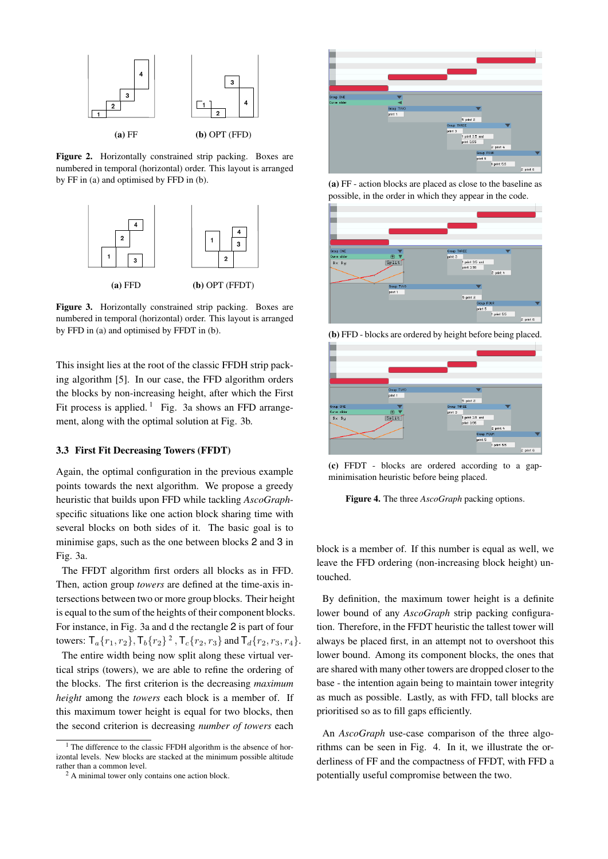<span id="page-2-0"></span>

Figure 2. Horizontally constrained strip packing. Boxes are numbered in temporal (horizontal) order. This layout is arranged by FF in (a) and optimised by FFD in (b).

<span id="page-2-2"></span>

Figure 3. Horizontally constrained strip packing. Boxes are numbered in temporal (horizontal) order. This layout is arranged by FFD in (a) and optimised by FFDT in (b).

This insight lies at the root of the classic FFDH strip packing algorithm [\[5\]](#page-4-4). In our case, the FFD algorithm orders the blocks by non-increasing height, after which the First Fit process is applied.<sup>[1](#page-2-1)</sup> Fig. [3a](#page-2-2) shows an FFD arrangement, along with the optimal solution at Fig. [3b](#page-2-2).

## 3.3 First Fit Decreasing Towers (FFDT)

Again, the optimal configuration in the previous example points towards the next algorithm. We propose a greedy heuristic that builds upon FFD while tackling *AscoGraph*specific situations like one action block sharing time with several blocks on both sides of it. The basic goal is to minimise gaps, such as the one between blocks 2 and 3 in Fig. [3a](#page-2-2).

The FFDT algorithm first orders all blocks as in FFD. Then, action group *towers* are defined at the time-axis intersections between two or more group blocks. Their height is equal to the sum of the heights of their component blocks. For instance, in Fig. [3a](#page-2-2) and d the rectangle 2 is part of four towers:  $\mathsf{T}_a\{r_1, r_2\}$  $\mathsf{T}_a\{r_1, r_2\}$  $\mathsf{T}_a\{r_1, r_2\}$ ,  $\mathsf{T}_b\{r_2\}^2$ ,  $\mathsf{T}_c\{r_2, r_3\}$  and  $\mathsf{T}_d\{r_2, r_3, r_4\}$ .

The entire width being now split along these virtual vertical strips (towers), we are able to refine the ordering of the blocks. The first criterion is the decreasing *maximum height* among the *towers* each block is a member of. If this maximum tower height is equal for two blocks, then the second criterion is decreasing *number of towers* each

<span id="page-2-4"></span>

(a) FF - action blocks are placed as close to the baseline as possible, in the order in which they appear in the code.



(b) FFD - blocks are ordered by height before being placed.







block is a member of. If this number is equal as well, we leave the FFD ordering (non-increasing block height) untouched.

By definition, the maximum tower height is a definite lower bound of any *AscoGraph* strip packing configuration. Therefore, in the FFDT heuristic the tallest tower will always be placed first, in an attempt not to overshoot this lower bound. Among its component blocks, the ones that are shared with many other towers are dropped closer to the base - the intention again being to maintain tower integrity as much as possible. Lastly, as with FFD, tall blocks are prioritised so as to fill gaps efficiently.

An *AscoGraph* use-case comparison of the three algorithms can be seen in Fig. [4.](#page-2-4) In it, we illustrate the orderliness of FF and the compactness of FFDT, with FFD a potentially useful compromise between the two.

<span id="page-2-1"></span><sup>&</sup>lt;sup>1</sup> The difference to the classic FFDH algorithm is the absence of horizontal levels. New blocks are stacked at the minimum possible altitude rather than a common level.

<span id="page-2-3"></span><sup>2</sup> A minimal tower only contains one action block.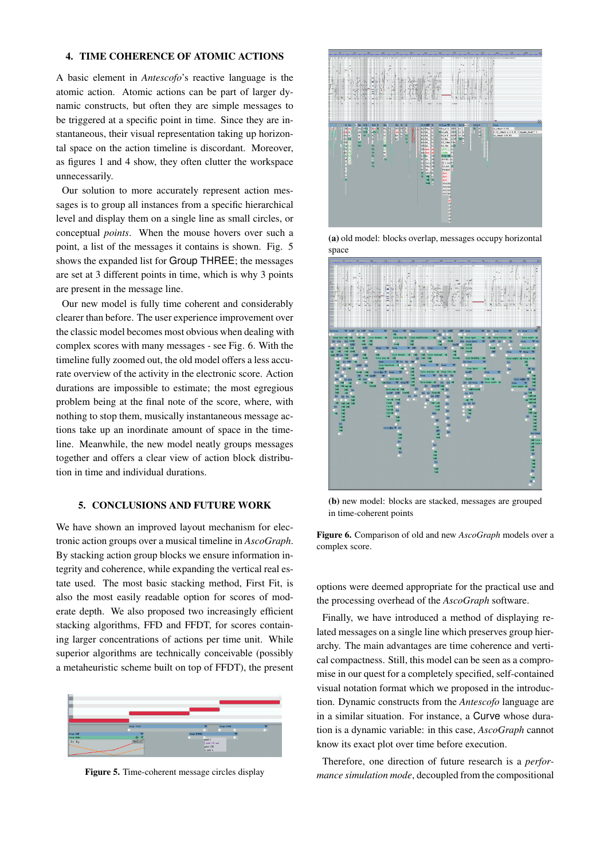## 4. TIME COHERENCE OF ATOMIC ACTIONS

A basic element in *Antescofo*'s reactive language is the atomic action. Atomic actions can be part of larger dynamic constructs, but often they are simple messages to be triggered at a specific point in time. Since they are instantaneous, their visual representation taking up horizontal space on the action timeline is discordant. Moreover, as figures [1](#page-1-0) and [4](#page-2-4) show, they often clutter the workspace unnecessarily.

Our solution to more accurately represent action messages is to group all instances from a specific hierarchical level and display them on a single line as small circles, or conceptual *points*. When the mouse hovers over such a point, a list of the messages it contains is shown. Fig. [5](#page-3-0) shows the expanded list for Group THREE; the messages are set at 3 different points in time, which is why 3 points are present in the message line.

Our new model is fully time coherent and considerably clearer than before. The user experience improvement over the classic model becomes most obvious when dealing with complex scores with many messages - see Fig. [6.](#page-3-1) With the timeline fully zoomed out, the old model offers a less accurate overview of the activity in the electronic score. Action durations are impossible to estimate; the most egregious problem being at the final note of the score, where, with nothing to stop them, musically instantaneous message actions take up an inordinate amount of space in the timeline. Meanwhile, the new model neatly groups messages together and offers a clear view of action block distribution in time and individual durations.

### 5. CONCLUSIONS AND FUTURE WORK

We have shown an improved layout mechanism for electronic action groups over a musical timeline in *AscoGraph*. By stacking action group blocks we ensure information integrity and coherence, while expanding the vertical real estate used. The most basic stacking method, First Fit, is also the most easily readable option for scores of moderate depth. We also proposed two increasingly efficient stacking algorithms, FFD and FFDT, for scores containing larger concentrations of actions per time unit. While superior algorithms are technically conceivable (possibly a metaheuristic scheme built on top of FFDT), the present

<span id="page-3-0"></span>

Figure 5. Time-coherent message circles display

<span id="page-3-1"></span>

(a) old model: blocks overlap, messages occupy horizontal space



(b) new model: blocks are stacked, messages are grouped in time-coherent points

Figure 6. Comparison of old and new *AscoGraph* models over a complex score.

options were deemed appropriate for the practical use and the processing overhead of the *AscoGraph* software.

Finally, we have introduced a method of displaying related messages on a single line which preserves group hierarchy. The main advantages are time coherence and vertical compactness. Still, this model can be seen as a compromise in our quest for a completely specified, self-contained visual notation format which we proposed in the introduction. Dynamic constructs from the *Antescofo* language are in a similar situation. For instance, a Curve whose duration is a dynamic variable: in this case, *AscoGraph* cannot know its exact plot over time before execution.

Therefore, one direction of future research is a *performance simulation mode*, decoupled from the compositional